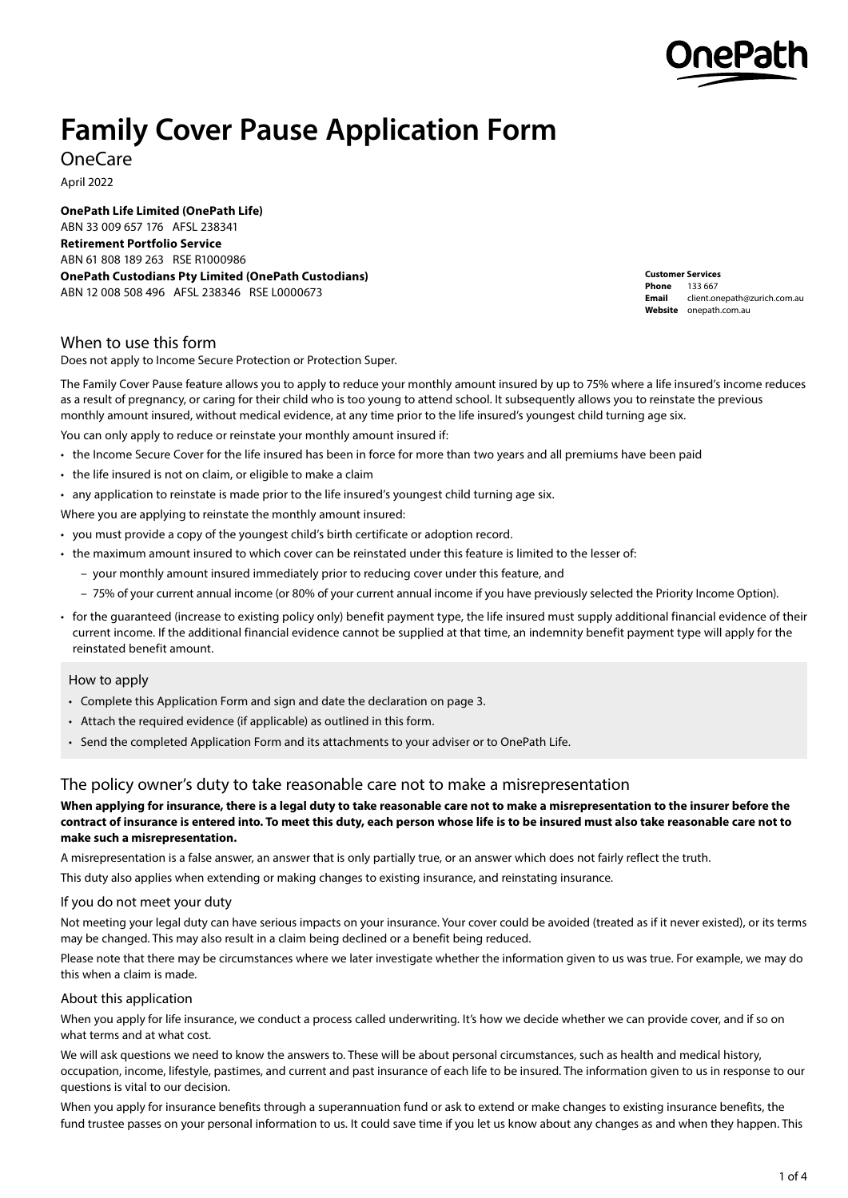

# **Family Cover Pause Application Form**

OneCare

April 2022

**OnePath Life Limited (OnePath Life)** ABN 33 009 657 176 AFSL 238341 **Retirement Portfolio Service** ABN 61 808 189 263 RSE R1000986 **OnePath Custodians Pty Limited (OnePath Custodians)** ABN 12 008 508 496 AFSL 238346 RSE L0000673

**Customer Services Phone** 133 667 **Email** [client.onepath@zurich.com.au](mailto:customer.risk%40onepath.com.au?subject=)  **Website** [onepath.com.au](http://onepath.com.au)

# When to use this form

Does not apply to Income Secure Protection or Protection Super.

The Family Cover Pause feature allows you to apply to reduce your monthly amount insured by up to 75% where a life insured's income reduces as a result of pregnancy, or caring for their child who is too young to attend school. It subsequently allows you to reinstate the previous monthly amount insured, without medical evidence, at any time prior to the life insured's youngest child turning age six.

You can only apply to reduce or reinstate your monthly amount insured if:

- the Income Secure Cover for the life insured has been in force for more than two years and all premiums have been paid
- the life insured is not on claim, or eligible to make a claim
- any application to reinstate is made prior to the life insured's youngest child turning age six.

Where you are applying to reinstate the monthly amount insured:

- you must provide a copy of the youngest child's birth certificate or adoption record.
- the maximum amount insured to which cover can be reinstated under this feature is limited to the lesser of:
	- your monthly amount insured immediately prior to reducing cover under this feature, and
	- 75% of your current annual income (or 80% of your current annual income if you have previously selected the Priority Income Option).
- for the guaranteed (increase to existing policy only) benefit payment type, the life insured must supply additional financial evidence of their current income. If the additional financial evidence cannot be supplied at that time, an indemnity benefit payment type will apply for the reinstated benefit amount.

## How to apply

- Complete this Application Form and sign and date the declaration on page 3.
- Attach the required evidence (if applicable) as outlined in this form.
- Send the completed Application Form and its attachments to your adviser or to OnePath Life.

# The policy owner's duty to take reasonable care not to make a misrepresentation

## **When applying for insurance, there is a legal duty to take reasonable care not to make a misrepresentation to the insurer before the contract of insurance is entered into. To meet this duty, each person whose life is to be insured must also take reasonable care not to make such a misrepresentation.**

A misrepresentation is a false answer, an answer that is only partially true, or an answer which does not fairly reflect the truth.

This duty also applies when extending or making changes to existing insurance, and reinstating insurance.

#### If you do not meet your duty

Not meeting your legal duty can have serious impacts on your insurance. Your cover could be avoided (treated as if it never existed), or its terms may be changed. This may also result in a claim being declined or a benefit being reduced.

Please note that there may be circumstances where we later investigate whether the information given to us was true. For example, we may do this when a claim is made.

## About this application

When you apply for life insurance, we conduct a process called underwriting. It's how we decide whether we can provide cover, and if so on what terms and at what cost.

We will ask questions we need to know the answers to. These will be about personal circumstances, such as health and medical history. occupation, income, lifestyle, pastimes, and current and past insurance of each life to be insured. The information given to us in response to our questions is vital to our decision.

When you apply for insurance benefits through a superannuation fund or ask to extend or make changes to existing insurance benefits, the fund trustee passes on your personal information to us. It could save time if you let us know about any changes as and when they happen. This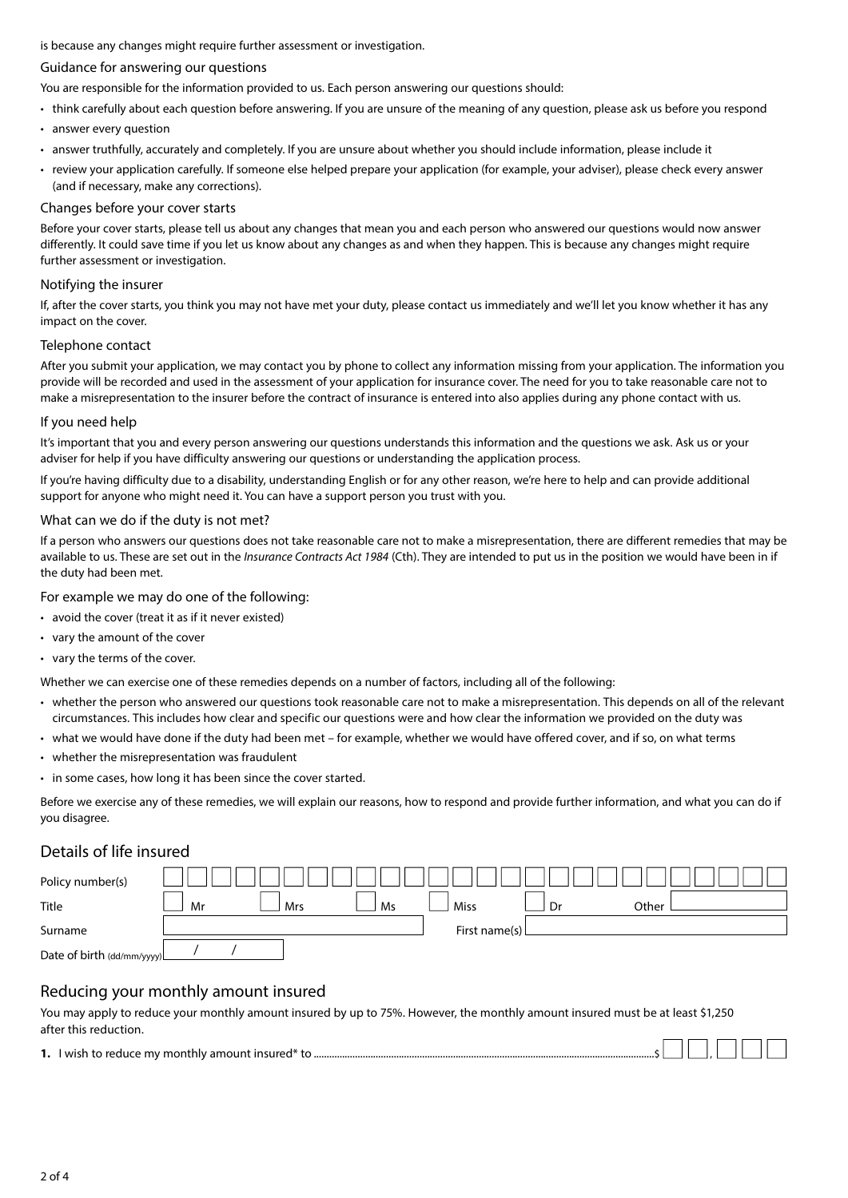is because any changes might require further assessment or investigation.

### Guidance for answering our questions

You are responsible for the information provided to us. Each person answering our questions should:

- think carefully about each question before answering. If you are unsure of the meaning of any question, please ask us before you respond
- answer every question
- answer truthfully, accurately and completely. If you are unsure about whether you should include information, please include it
- review your application carefully. If someone else helped prepare your application (for example, your adviser), please check every answer (and if necessary, make any corrections).

#### Changes before your cover starts

Before your cover starts, please tell us about any changes that mean you and each person who answered our questions would now answer differently. It could save time if you let us know about any changes as and when they happen. This is because any changes might require further assessment or investigation.

#### Notifying the insurer

If, after the cover starts, you think you may not have met your duty, please contact us immediately and we'll let you know whether it has any impact on the cover.

#### Telephone contact

After you submit your application, we may contact you by phone to collect any information missing from your application. The information you provide will be recorded and used in the assessment of your application for insurance cover. The need for you to take reasonable care not to make a misrepresentation to the insurer before the contract of insurance is entered into also applies during any phone contact with us.

#### If you need help

It's important that you and every person answering our questions understands this information and the questions we ask. Ask us or your adviser for help if you have difficulty answering our questions or understanding the application process.

If you're having difficulty due to a disability, understanding English or for any other reason, we're here to help and can provide additional support for anyone who might need it. You can have a support person you trust with you.

#### What can we do if the duty is not met?

If a person who answers our questions does not take reasonable care not to make a misrepresentation, there are different remedies that may be available to us. These are set out in the *Insurance Contracts Act 1984* (Cth). They are intended to put us in the position we would have been in if the duty had been met.

For example we may do one of the following:

- avoid the cover (treat it as if it never existed)
- vary the amount of the cover
- vary the terms of the cover.

Whether we can exercise one of these remedies depends on a number of factors, including all of the following:

- whether the person who answered our questions took reasonable care not to make a misrepresentation. This depends on all of the relevant circumstances. This includes how clear and specific our questions were and how clear the information we provided on the duty was
- what we would have done if the duty had been met for example, whether we would have offered cover, and if so, on what terms
- whether the misrepresentation was fraudulent
- in some cases, how long it has been since the cover started.

Before we exercise any of these remedies, we will explain our reasons, how to respond and provide further information, and what you can do if you disagree.

# Details of life insured

| Policy number(s)            |    |     |    |               |    |       |  |
|-----------------------------|----|-----|----|---------------|----|-------|--|
| Title                       | Mr | Mrs | Ms | <b>Miss</b>   | Dr | Other |  |
| Surname                     |    |     |    | First name(s) |    |       |  |
| Date of birth (dd/mm/yyyy)L |    |     |    |               |    |       |  |

# Reducing your monthly amount insured

You may apply to reduce your monthly amount insured by up to 75%. However, the monthly amount insured must be at least \$1,250 after this reduction.

| 1. I wish to reduce my monthly amount insured* t |  |  |  |
|--------------------------------------------------|--|--|--|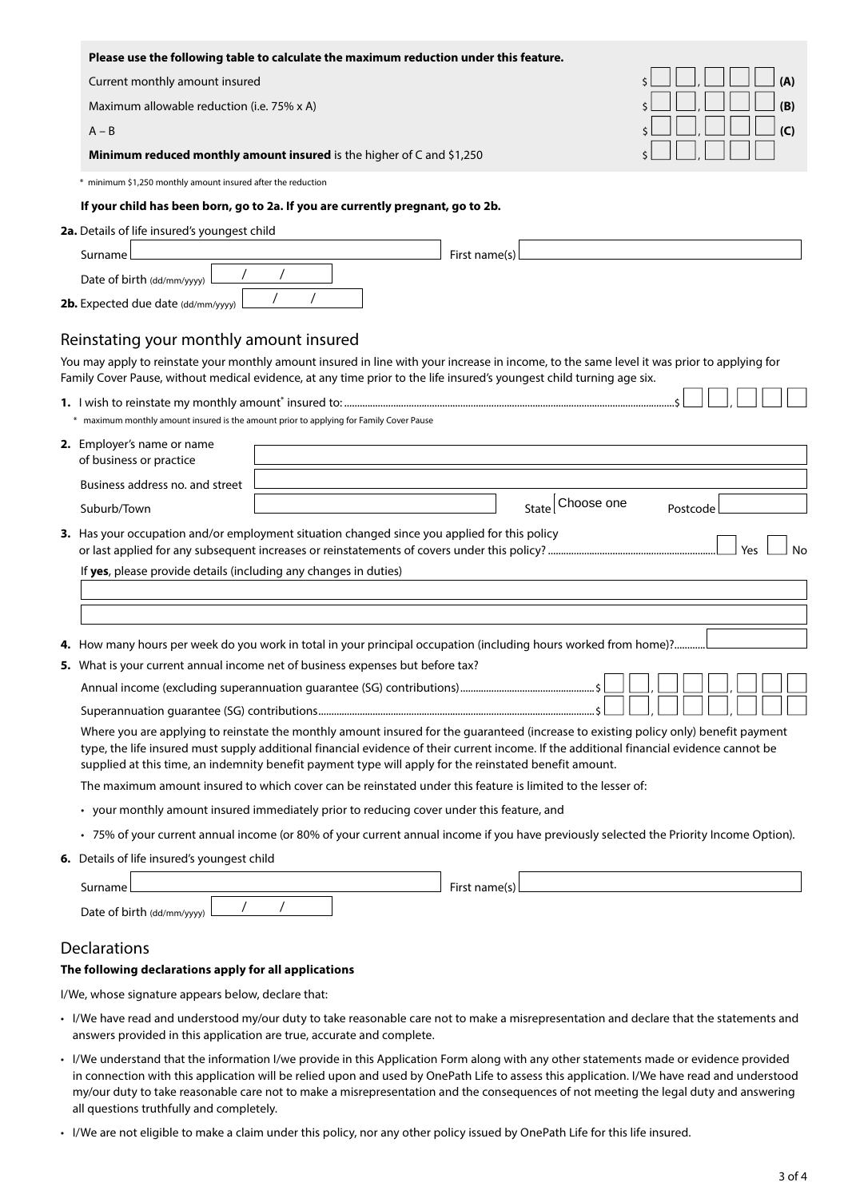|                                                                  | Please use the following table to calculate the maximum reduction under this feature.        |                                                                                                                                                                                                                                                                                      |           |
|------------------------------------------------------------------|----------------------------------------------------------------------------------------------|--------------------------------------------------------------------------------------------------------------------------------------------------------------------------------------------------------------------------------------------------------------------------------------|-----------|
| Current monthly amount insured                                   |                                                                                              |                                                                                                                                                                                                                                                                                      | (A)       |
| Maximum allowable reduction (i.e. 75% x A)                       |                                                                                              |                                                                                                                                                                                                                                                                                      | (B)       |
| $A - B$                                                          |                                                                                              |                                                                                                                                                                                                                                                                                      | (C)       |
|                                                                  | Minimum reduced monthly amount insured is the higher of C and \$1,250                        |                                                                                                                                                                                                                                                                                      |           |
| * minimum \$1,250 monthly amount insured after the reduction     |                                                                                              |                                                                                                                                                                                                                                                                                      |           |
|                                                                  | If your child has been born, go to 2a. If you are currently pregnant, go to 2b.              |                                                                                                                                                                                                                                                                                      |           |
| 2a. Details of life insured's youngest child                     |                                                                                              |                                                                                                                                                                                                                                                                                      |           |
| Surname                                                          |                                                                                              | First name(s)                                                                                                                                                                                                                                                                        |           |
| Date of birth $\frac{dd}{m}$ /yyyy)                              |                                                                                              |                                                                                                                                                                                                                                                                                      |           |
| 2b. Expected due date (dd/mm/yyyy)                               |                                                                                              |                                                                                                                                                                                                                                                                                      |           |
| Reinstating your monthly amount insured                          |                                                                                              |                                                                                                                                                                                                                                                                                      |           |
|                                                                  |                                                                                              | You may apply to reinstate your monthly amount insured in line with your increase in income, to the same level it was prior to applying for                                                                                                                                          |           |
|                                                                  |                                                                                              | Family Cover Pause, without medical evidence, at any time prior to the life insured's youngest child turning age six.                                                                                                                                                                |           |
|                                                                  |                                                                                              |                                                                                                                                                                                                                                                                                      |           |
|                                                                  | * maximum monthly amount insured is the amount prior to applying for Family Cover Pause      |                                                                                                                                                                                                                                                                                      |           |
| 2. Employer's name or name                                       |                                                                                              |                                                                                                                                                                                                                                                                                      |           |
| of business or practice                                          |                                                                                              |                                                                                                                                                                                                                                                                                      |           |
| Business address no. and street                                  |                                                                                              | Choose one                                                                                                                                                                                                                                                                           |           |
| Suburb/Town                                                      |                                                                                              | <b>State</b>                                                                                                                                                                                                                                                                         | Postcode  |
|                                                                  | 3. Has your occupation and/or employment situation changed since you applied for this policy |                                                                                                                                                                                                                                                                                      | Yes<br>No |
| If yes, please provide details (including any changes in duties) |                                                                                              |                                                                                                                                                                                                                                                                                      |           |
|                                                                  |                                                                                              |                                                                                                                                                                                                                                                                                      |           |
|                                                                  |                                                                                              |                                                                                                                                                                                                                                                                                      |           |
|                                                                  |                                                                                              | 4. How many hours per week do you work in total in your principal occupation (including hours worked from home)?                                                                                                                                                                     |           |
|                                                                  | 5. What is your current annual income net of business expenses but before tax?               |                                                                                                                                                                                                                                                                                      |           |
|                                                                  |                                                                                              |                                                                                                                                                                                                                                                                                      |           |
|                                                                  |                                                                                              |                                                                                                                                                                                                                                                                                      |           |
|                                                                  |                                                                                              | Where you are applying to reinstate the monthly amount insured for the guaranteed (increase to existing policy only) benefit payment<br>type, the life insured must supply additional financial evidence of their current income. If the additional financial evidence cannot be     |           |
|                                                                  |                                                                                              | supplied at this time, an indemnity benefit payment type will apply for the reinstated benefit amount.                                                                                                                                                                               |           |
|                                                                  |                                                                                              | The maximum amount insured to which cover can be reinstated under this feature is limited to the lesser of:                                                                                                                                                                          |           |
|                                                                  | • your monthly amount insured immediately prior to reducing cover under this feature, and    |                                                                                                                                                                                                                                                                                      |           |
|                                                                  |                                                                                              | • 75% of your current annual income (or 80% of your current annual income if you have previously selected the Priority Income Option).                                                                                                                                               |           |
| 6. Details of life insured's youngest child                      |                                                                                              |                                                                                                                                                                                                                                                                                      |           |
| Surname                                                          |                                                                                              | First name(s)                                                                                                                                                                                                                                                                        |           |
| Date of birth (dd/mm/yyyy)                                       |                                                                                              |                                                                                                                                                                                                                                                                                      |           |
| Declarations                                                     |                                                                                              |                                                                                                                                                                                                                                                                                      |           |
| The following declarations apply for all applications            |                                                                                              |                                                                                                                                                                                                                                                                                      |           |
| I/We, whose signature appears below, declare that:               |                                                                                              |                                                                                                                                                                                                                                                                                      |           |
|                                                                  |                                                                                              | • I/We have read and understood my/our duty to take reasonable care not to make a misrepresentation and declare that the statements and                                                                                                                                              |           |
|                                                                  | answers provided in this application are true, accurate and complete.                        |                                                                                                                                                                                                                                                                                      |           |
|                                                                  |                                                                                              | • I/We understand that the information I/we provide in this Application Form along with any other statements made or evidence provided<br>in connection with this application will be relied upon and used by OnePath Life to assess this application. I/We have read and understood |           |

- my/our duty to take reasonable care not to make a misrepresentation and the consequences of not meeting the legal duty and answering all questions truthfully and completely.
- I/We are not eligible to make a claim under this policy, nor any other policy issued by OnePath Life for this life insured.